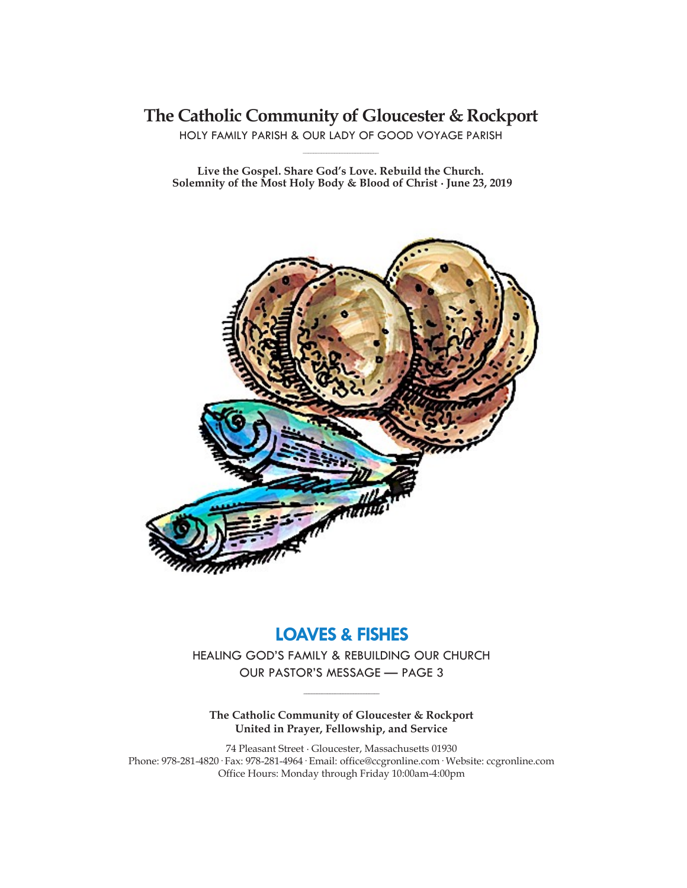**The Catholic Community of Gloucester & Rockport**

HOLY FAMILY PARISH & OUR LADY OF GOOD VOYAGE PARISH **\_\_\_\_\_\_\_\_\_\_\_\_\_\_\_\_\_\_\_\_\_\_\_\_\_\_\_\_\_**

**Live the Gospel. Share God's Love. Rebuild the Church. Solemnity of the Most Holy Body & Blood of Christ ∙ June 23, 2019**



# **LOAVES & FISHES**

HEALING GOD'S FAMILY & REBUILDING OUR CHURCH OUR PASTOR'S MESSAGE — PAGE 3

**\_\_\_\_\_\_\_\_\_\_\_\_\_\_\_\_\_\_\_\_\_\_\_\_\_\_\_\_\_**

**The Catholic Community of Gloucester & Rockport United in Prayer, Fellowship, and Service**

74 Pleasant Street ∙ Gloucester, Massachusetts 01930 Phone: 978-281-4820· Fax: 978-281-4964· Email: office@ccgronline.com· Website: ccgronline.com Office Hours: Monday through Friday 10:00am-4:00pm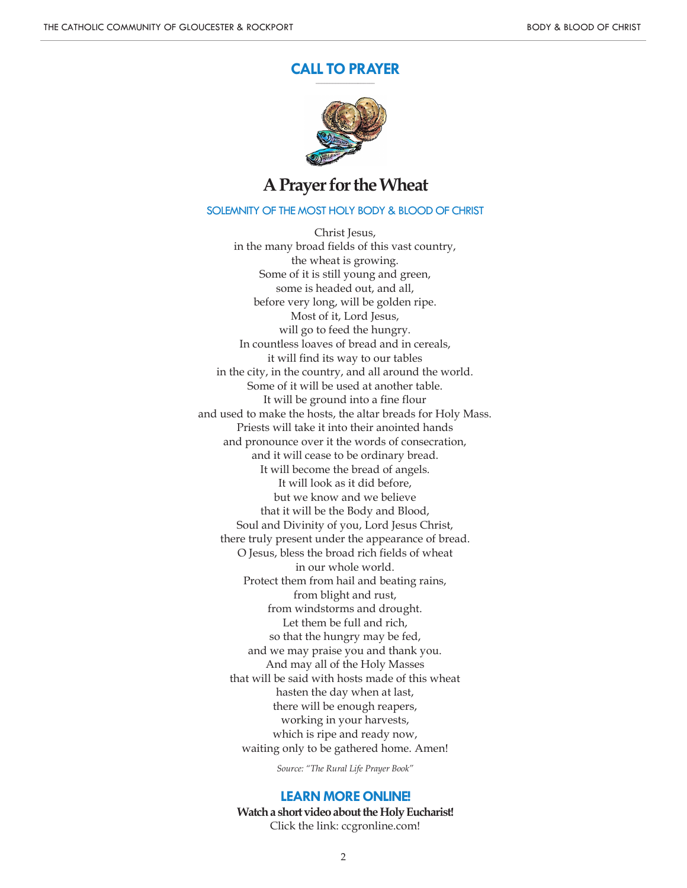#### **CALL TO PRAYER \_\_\_\_\_\_\_\_\_\_\_\_\_\_\_\_\_\_\_\_\_**



# **A Prayer for the Wheat**

### SOLEMNITY OF THE MOST HOLY BODY & BLOOD OF CHRIST

Christ Jesus, in the many broad fields of this vast country, the wheat is growing. Some of it is still young and green, some is headed out, and all, before very long, will be golden ripe. Most of it, Lord Jesus, will go to feed the hungry. In countless loaves of bread and in cereals, it will find its way to our tables in the city, in the country, and all around the world. Some of it will be used at another table. It will be ground into a fine flour and used to make the hosts, the altar breads for Holy Mass. Priests will take it into their anointed hands and pronounce over it the words of consecration, and it will cease to be ordinary bread. It will become the bread of angels. It will look as it did before, but we know and we believe that it will be the Body and Blood, Soul and Divinity of you, Lord Jesus Christ, there truly present under the appearance of bread. O Jesus, bless the broad rich fields of wheat in our whole world. Protect them from hail and beating rains, from blight and rust, from windstorms and drought. Let them be full and rich, so that the hungry may be fed, and we may praise you and thank you. And may all of the Holy Masses that will be said with hosts made of this wheat hasten the day when at last, there will be enough reapers, working in your harvests, which is ripe and ready now, waiting only to be gathered home. Amen!

*Source: "The Rural Life Prayer Book"*

#### **LEARN MORE ONLINE!**

**Watch a short video about the Holy Eucharist!** Click the link: ccgronline.com!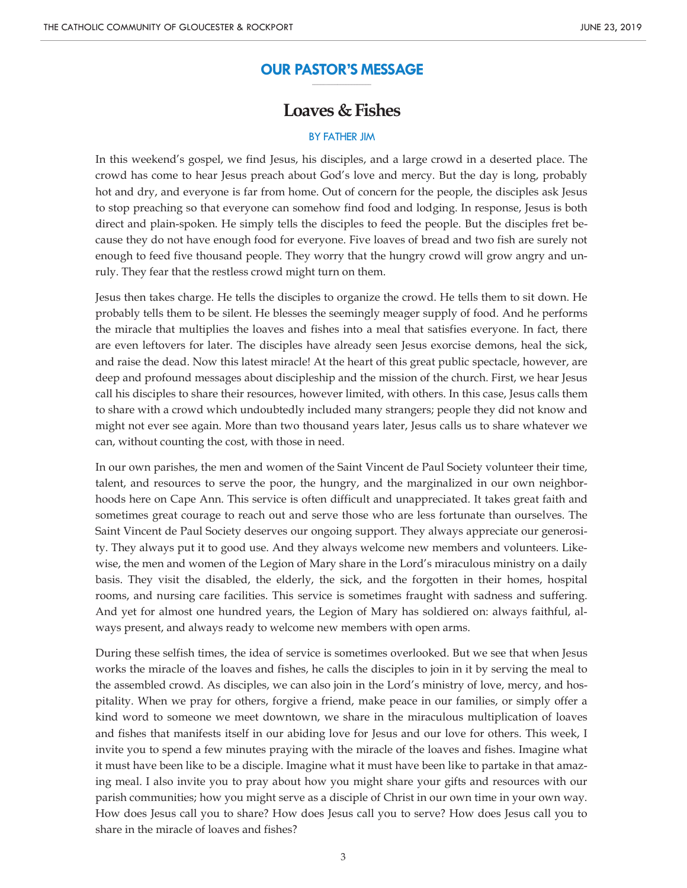#### **OUR PASTOR'S MESSAGE \_\_\_\_\_\_\_\_\_\_\_\_\_\_\_\_\_\_\_\_\_**

# **Loaves & Fishes**

### BY FATHER JIM

In this weekend's gospel, we find Jesus, his disciples, and a large crowd in a deserted place. The crowd has come to hear Jesus preach about God's love and mercy. But the day is long, probably hot and dry, and everyone is far from home. Out of concern for the people, the disciples ask Jesus to stop preaching so that everyone can somehow find food and lodging. In response, Jesus is both direct and plain-spoken. He simply tells the disciples to feed the people. But the disciples fret because they do not have enough food for everyone. Five loaves of bread and two fish are surely not enough to feed five thousand people. They worry that the hungry crowd will grow angry and unruly. They fear that the restless crowd might turn on them.

Jesus then takes charge. He tells the disciples to organize the crowd. He tells them to sit down. He probably tells them to be silent. He blesses the seemingly meager supply of food. And he performs the miracle that multiplies the loaves and fishes into a meal that satisfies everyone. In fact, there are even leftovers for later. The disciples have already seen Jesus exorcise demons, heal the sick, and raise the dead. Now this latest miracle! At the heart of this great public spectacle, however, are deep and profound messages about discipleship and the mission of the church. First, we hear Jesus call his disciples to share their resources, however limited, with others. In this case, Jesus calls them to share with a crowd which undoubtedly included many strangers; people they did not know and might not ever see again. More than two thousand years later, Jesus calls us to share whatever we can, without counting the cost, with those in need.

In our own parishes, the men and women of the Saint Vincent de Paul Society volunteer their time, talent, and resources to serve the poor, the hungry, and the marginalized in our own neighborhoods here on Cape Ann. This service is often difficult and unappreciated. It takes great faith and sometimes great courage to reach out and serve those who are less fortunate than ourselves. The Saint Vincent de Paul Society deserves our ongoing support. They always appreciate our generosity. They always put it to good use. And they always welcome new members and volunteers. Likewise, the men and women of the Legion of Mary share in the Lord's miraculous ministry on a daily basis. They visit the disabled, the elderly, the sick, and the forgotten in their homes, hospital rooms, and nursing care facilities. This service is sometimes fraught with sadness and suffering. And yet for almost one hundred years, the Legion of Mary has soldiered on: always faithful, always present, and always ready to welcome new members with open arms.

During these selfish times, the idea of service is sometimes overlooked. But we see that when Jesus works the miracle of the loaves and fishes, he calls the disciples to join in it by serving the meal to the assembled crowd. As disciples, we can also join in the Lord's ministry of love, mercy, and hospitality. When we pray for others, forgive a friend, make peace in our families, or simply offer a kind word to someone we meet downtown, we share in the miraculous multiplication of loaves and fishes that manifests itself in our abiding love for Jesus and our love for others. This week, I invite you to spend a few minutes praying with the miracle of the loaves and fishes. Imagine what it must have been like to be a disciple. Imagine what it must have been like to partake in that amazing meal. I also invite you to pray about how you might share your gifts and resources with our parish communities; how you might serve as a disciple of Christ in our own time in your own way. How does Jesus call you to share? How does Jesus call you to serve? How does Jesus call you to share in the miracle of loaves and fishes?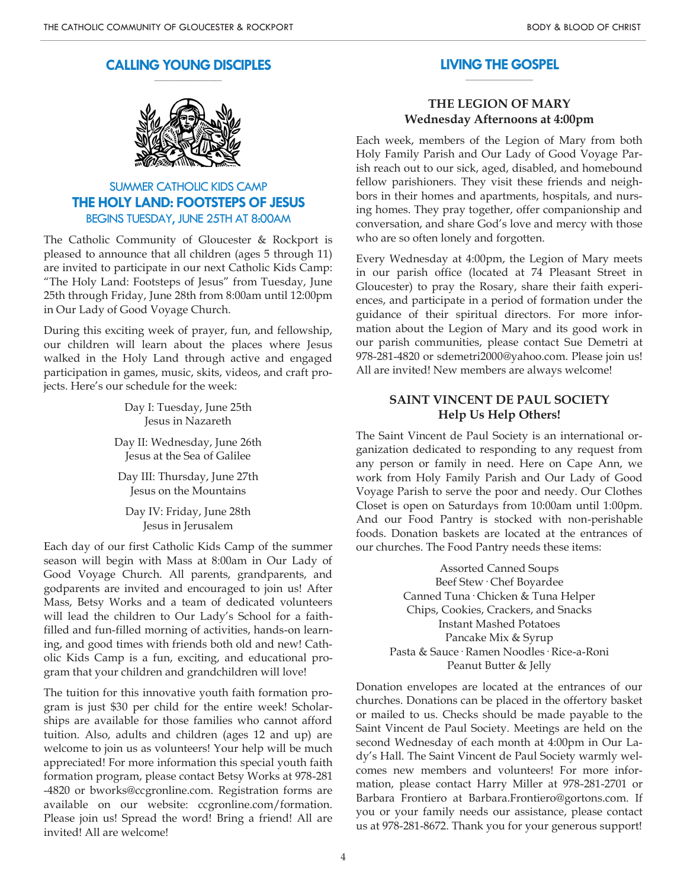#### **CALLING YOUNG DISCIPLES \_\_\_\_\_\_\_\_\_\_\_\_\_\_\_\_\_\_\_\_**



# SUMMER CATHOLIC KIDS CAMP **THE HOLY LAND: FOOTSTEPS OF JESUS** BEGINS TUESDAY, JUNE 25TH AT 8:00AM

The Catholic Community of Gloucester & Rockport is pleased to announce that all children (ages 5 through 11) are invited to participate in our next Catholic Kids Camp: "The Holy Land: Footsteps of Jesus" from Tuesday, June 25th through Friday, June 28th from 8:00am until 12:00pm in Our Lady of Good Voyage Church.

During this exciting week of prayer, fun, and fellowship, our children will learn about the places where Jesus walked in the Holy Land through active and engaged participation in games, music, skits, videos, and craft projects. Here's our schedule for the week:

> Day I: Tuesday, June 25th Jesus in Nazareth

Day II: Wednesday, June 26th Jesus at the Sea of Galilee

Day III: Thursday, June 27th Jesus on the Mountains

Day IV: Friday, June 28th Jesus in Jerusalem

Each day of our first Catholic Kids Camp of the summer season will begin with Mass at 8:00am in Our Lady of Good Voyage Church. All parents, grandparents, and godparents are invited and encouraged to join us! After Mass, Betsy Works and a team of dedicated volunteers will lead the children to Our Lady's School for a faithfilled and fun-filled morning of activities, hands-on learning, and good times with friends both old and new! Catholic Kids Camp is a fun, exciting, and educational program that your children and grandchildren will love!

The tuition for this innovative youth faith formation program is just \$30 per child for the entire week! Scholarships are available for those families who cannot afford tuition. Also, adults and children (ages 12 and up) are welcome to join us as volunteers! Your help will be much appreciated! For more information this special youth faith formation program, please contact Betsy Works at 978-281 -4820 or bworks@ccgronline.com. Registration forms are available on our website: ccgronline.com/formation. Please join us! Spread the word! Bring a friend! All are invited! All are welcome!

#### **LIVING THE GOSPEL \_\_\_\_\_\_\_\_\_\_\_\_\_\_\_\_\_\_\_\_**

### **THE LEGION OF MARY Wednesday Afternoons at 4:00pm**

Each week, members of the Legion of Mary from both Holy Family Parish and Our Lady of Good Voyage Parish reach out to our sick, aged, disabled, and homebound fellow parishioners. They visit these friends and neighbors in their homes and apartments, hospitals, and nursing homes. They pray together, offer companionship and conversation, and share God's love and mercy with those who are so often lonely and forgotten.

Every Wednesday at 4:00pm, the Legion of Mary meets in our parish office (located at 74 Pleasant Street in Gloucester) to pray the Rosary, share their faith experiences, and participate in a period of formation under the guidance of their spiritual directors. For more information about the Legion of Mary and its good work in our parish communities, please contact Sue Demetri at 978-281-4820 or sdemetri2000@yahoo.com. Please join us! All are invited! New members are always welcome!

### **SAINT VINCENT DE PAUL SOCIETY Help Us Help Others!**

The Saint Vincent de Paul Society is an international organization dedicated to responding to any request from any person or family in need. Here on Cape Ann, we work from Holy Family Parish and Our Lady of Good Voyage Parish to serve the poor and needy. Our Clothes Closet is open on Saturdays from 10:00am until 1:00pm. And our Food Pantry is stocked with non-perishable foods. Donation baskets are located at the entrances of our churches. The Food Pantry needs these items:

> Assorted Canned Soups Beef Stew· Chef Boyardee Canned Tuna· Chicken & Tuna Helper Chips, Cookies, Crackers, and Snacks Instant Mashed Potatoes Pancake Mix & Syrup Pasta & Sauce· Ramen Noodles· Rice-a-Roni Peanut Butter & Jelly

Donation envelopes are located at the entrances of our churches. Donations can be placed in the offertory basket or mailed to us. Checks should be made payable to the Saint Vincent de Paul Society. Meetings are held on the second Wednesday of each month at 4:00pm in Our Lady's Hall. The Saint Vincent de Paul Society warmly welcomes new members and volunteers! For more information, please contact Harry Miller at 978-281-2701 or Barbara Frontiero at Barbara.Frontiero@gortons.com. If you or your family needs our assistance, please contact us at 978-281-8672. Thank you for your generous support!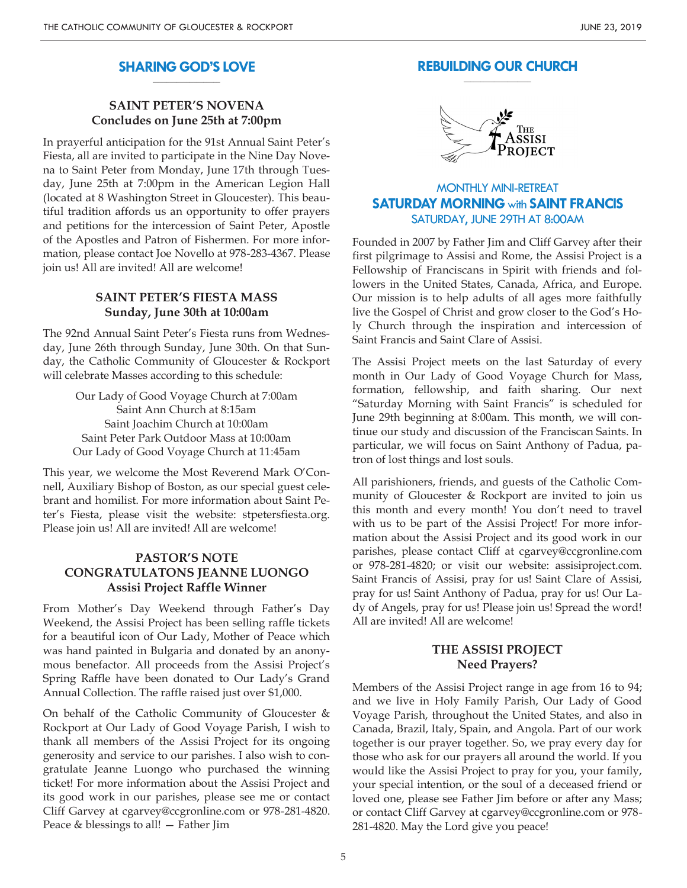#### **SHARING GOD'S LOVE \_\_\_\_\_\_\_\_\_\_\_\_\_\_\_\_\_\_\_\_**

# **SAINT PETER'S NOVENA Concludes on June 25th at 7:00pm**

In prayerful anticipation for the 91st Annual Saint Peter's Fiesta, all are invited to participate in the Nine Day Novena to Saint Peter from Monday, June 17th through Tuesday, June 25th at 7:00pm in the American Legion Hall (located at 8 Washington Street in Gloucester). This beautiful tradition affords us an opportunity to offer prayers and petitions for the intercession of Saint Peter, Apostle of the Apostles and Patron of Fishermen. For more information, please contact Joe Novello at 978-283-4367. Please join us! All are invited! All are welcome!

## **SAINT PETER'S FIESTA MASS Sunday, June 30th at 10:00am**

The 92nd Annual Saint Peter's Fiesta runs from Wednesday, June 26th through Sunday, June 30th. On that Sunday, the Catholic Community of Gloucester & Rockport will celebrate Masses according to this schedule:

> Our Lady of Good Voyage Church at 7:00am Saint Ann Church at 8:15am Saint Joachim Church at 10:00am Saint Peter Park Outdoor Mass at 10:00am Our Lady of Good Voyage Church at 11:45am

This year, we welcome the Most Reverend Mark O'Connell, Auxiliary Bishop of Boston, as our special guest celebrant and homilist. For more information about Saint Peter's Fiesta, please visit the website: stpetersfiesta.org. Please join us! All are invited! All are welcome!

## **PASTOR'S NOTE CONGRATULATONS JEANNE LUONGO Assisi Project Raffle Winner**

From Mother's Day Weekend through Father's Day Weekend, the Assisi Project has been selling raffle tickets for a beautiful icon of Our Lady, Mother of Peace which was hand painted in Bulgaria and donated by an anonymous benefactor. All proceeds from the Assisi Project's Spring Raffle have been donated to Our Lady's Grand Annual Collection. The raffle raised just over \$1,000.

On behalf of the Catholic Community of Gloucester & Rockport at Our Lady of Good Voyage Parish, I wish to thank all members of the Assisi Project for its ongoing generosity and service to our parishes. I also wish to congratulate Jeanne Luongo who purchased the winning ticket! For more information about the Assisi Project and its good work in our parishes, please see me or contact Cliff Garvey at cgarvey@ccgronline.com or 978-281-4820. Peace & blessings to all! — Father Jim

#### **REBUILDING OUR CHURCH \_\_\_\_\_\_\_\_\_\_\_\_\_\_\_\_\_\_\_\_**



# MONTHLY MINI-RETREAT **SATURDAY MORNING** with **SAINT FRANCIS** SATURDAY, JUNE 29TH AT 8:00AM

Founded in 2007 by Father Jim and Cliff Garvey after their first pilgrimage to Assisi and Rome, the Assisi Project is a Fellowship of Franciscans in Spirit with friends and followers in the United States, Canada, Africa, and Europe. Our mission is to help adults of all ages more faithfully live the Gospel of Christ and grow closer to the God's Holy Church through the inspiration and intercession of Saint Francis and Saint Clare of Assisi.

The Assisi Project meets on the last Saturday of every month in Our Lady of Good Voyage Church for Mass, formation, fellowship, and faith sharing. Our next "Saturday Morning with Saint Francis" is scheduled for June 29th beginning at 8:00am. This month, we will continue our study and discussion of the Franciscan Saints. In particular, we will focus on Saint Anthony of Padua, patron of lost things and lost souls.

All parishioners, friends, and guests of the Catholic Community of Gloucester & Rockport are invited to join us this month and every month! You don't need to travel with us to be part of the Assisi Project! For more information about the Assisi Project and its good work in our parishes, please contact Cliff at cgarvey@ccgronline.com or 978-281-4820; or visit our website: assisiproject.com. Saint Francis of Assisi, pray for us! Saint Clare of Assisi, pray for us! Saint Anthony of Padua, pray for us! Our Lady of Angels, pray for us! Please join us! Spread the word! All are invited! All are welcome!

### **THE ASSISI PROJECT Need Prayers?**

Members of the Assisi Project range in age from 16 to 94; and we live in Holy Family Parish, Our Lady of Good Voyage Parish, throughout the United States, and also in Canada, Brazil, Italy, Spain, and Angola. Part of our work together is our prayer together. So, we pray every day for those who ask for our prayers all around the world. If you would like the Assisi Project to pray for you, your family, your special intention, or the soul of a deceased friend or loved one, please see Father Jim before or after any Mass; or contact Cliff Garvey at cgarvey@ccgronline.com or 978- 281-4820. May the Lord give you peace!